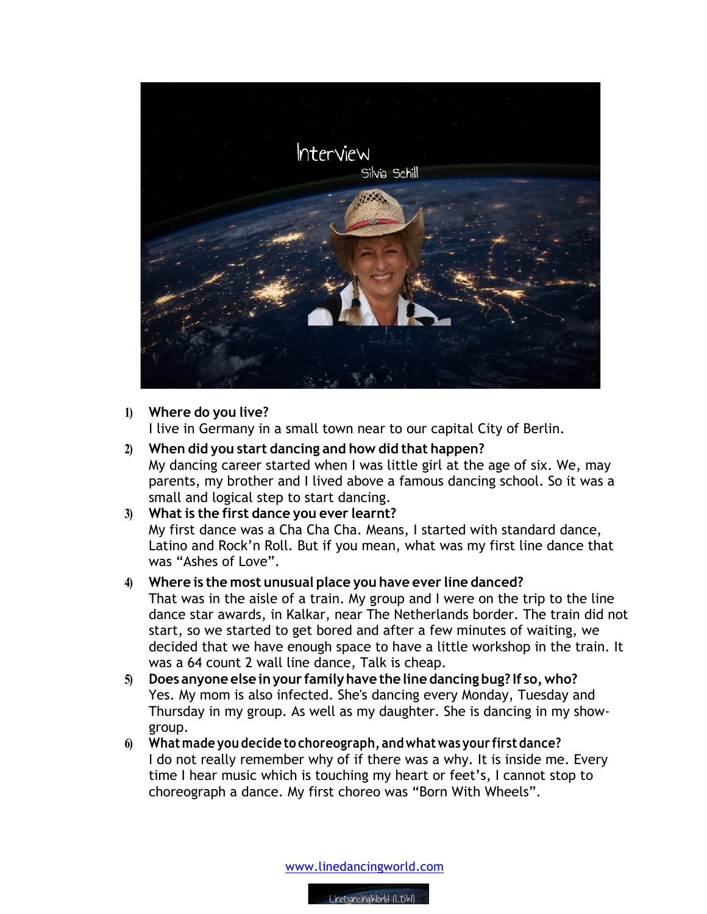

## **1) Where do you live?**

I live in Germany in a small town near to our capital City of Berlin.

- **2) When did you start dancing and how did that happen?** My dancing career started when I was little girl at the age of six. We, may parents, my brother and I lived above a famous dancing school. So it was a small and logical step to start dancing.
- **3) What is the first dance you ever learnt?** My first dance was a Cha Cha Cha. Means, I started with standard dance, Latino and Rock'n Roll. But if you mean, what was my first line dance that was "Ashes of Love".
- **4) Where is the most unusual place you have ever line danced?** That was in the aisle of a train. My group and I were on the trip to the line dance star awards, in Kalkar, near The Netherlands border. The train did not start, so we started to get bored and after a few minutes of waiting, we decided that we have enough space to have a little workshop in the train. It was a 64 count 2 wall line dance, Talk is cheap.
- **5) Does anyone else inyour familyhave the line dancing bug? If so,who?** Yes. My mom is also infected. She's dancing every Monday, Tuesday and Thursday in my group. As well as my daughter. She is dancing in my showgroup.
- **6) Whatmade you decide to choreograph, andwhatwas your firstdance?**  I do not really remember why of if there was a why. It is inside me. Every time I hear music which is touching my heart or feet's, I cannot stop to choreograph a dance. My first choreo was "Born With Wheels".

www.linedancingworld.com

LineDancingWorld (LDW)